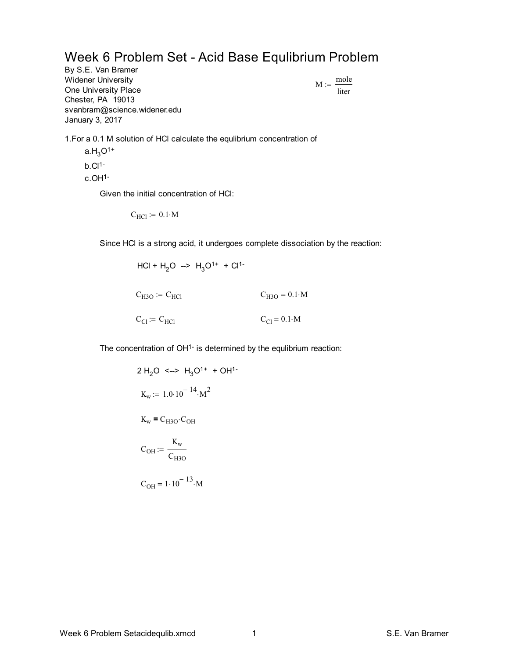Week 6 Problem Set - Acid Base Equlibrium Problem

By S.E. Van Bramer Widener University One University Place Chester, PA 19013 svanbram@science.widener.edu January 3, 2017

 $M := \frac{\text{mole}}{\text{m}}$ liter :=

1.For a 0.1 M solution of HCl calculate the equlibrium concentration of

 $a.H_3O^{1+}$  $b.C11$ c.OH1-

Given the initial concentration of HCl:

 $C_{\text{HC1}} \coloneqq 0.1 \cdot \text{M}$ 

Since HCl is a strong acid, it undergoes complete dissociation by the reaction:

$$
HCl + H2O \implies H3O1+ + Cl1-
$$
  

$$
CH3O := CHCl \t CH3O = 0.1 \cdot M
$$
  

$$
CCl := CHCl \t CCl = 0.1 \cdot M
$$

The concentration of OH<sup>1-</sup> is determined by the equlibrium reaction:

2 H<sub>2</sub>O 
$$
\leftarrow
$$
 H<sub>3</sub>O<sup>1+</sup> + OH<sup>1-</sup>  
\nK<sub>w</sub> := 1.0.10<sup>-14</sup>·M<sup>2</sup>  
\nK<sub>w</sub> = C<sub>H3O</sub>·C<sub>OH</sub>  
\nC<sub>OH</sub> :=  $\frac{K_w}{C_{H3O}}$   
\nC<sub>OH</sub> = 1.10<sup>-13</sup>·M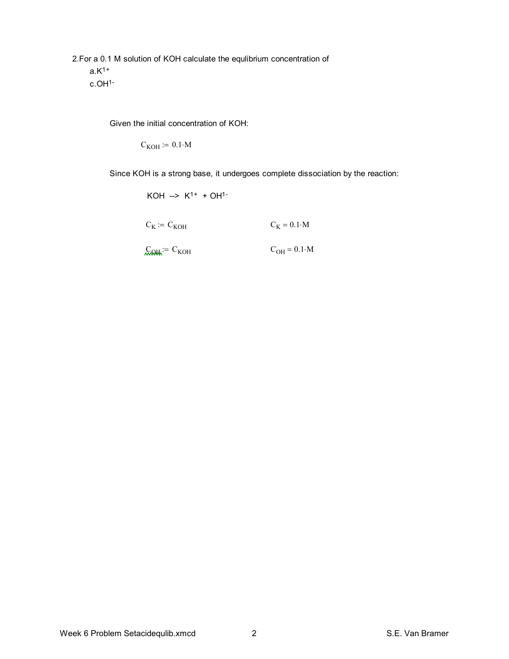2.For a 0.1 M solution of KOH calculate the equlibrium concentration of  $a.K<sup>1+</sup>$ c.OH1-

Given the initial concentration of KOH:

 $C_{KOH} := 0.1 \cdot M$ 

Since KOH is a strong base, it undergoes complete dissociation by the reaction:

 $KOH \rightarrow K^{1+} + OH^{1-}$ 

 $C_K$  :=  $C_{KOH}$   $C_K = 0.1 \cdot M$ 

 $C<sub>OH</sub>$ := C<sub>KOH</sub>  $C<sub>OH</sub> = 0.1 M$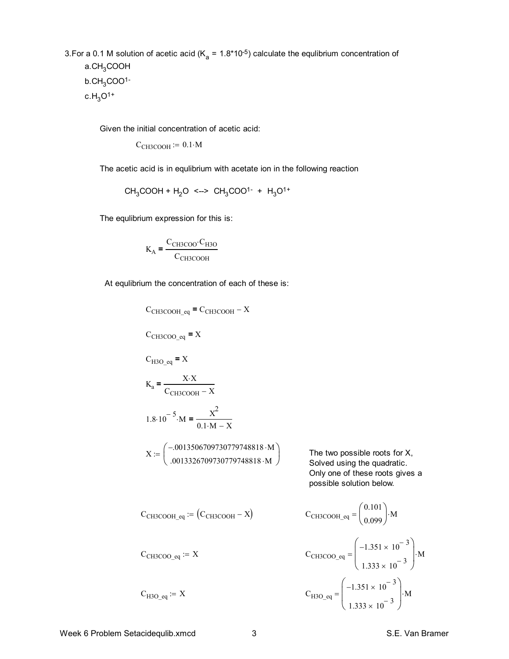3. For a 0.1 M solution of acetic acid ( $K_a = 1.8*10^{-5}$ ) calculate the equlibrium concentration of  $a$ .CH<sub>3</sub>COOH  $b.CH_3COO<sup>1</sup>$  $c.H_3O^{1+}$ 

Given the initial concentration of acetic acid:

 $C_{CH3COOH}$  := 0.1 M

The acetic acid is in equlibrium with acetate ion in the following reaction

 $CH_3COOH + H_2O \leq -5 CH_3COO^{1-} + H_3O^{1+}$ 

The equlibrium expression for this is:

$$
K_A = \frac{C_{CH3COO} \cdot C_{H3O}}{C_{CH3COOH}}
$$

At equlibrium the concentration of each of these is:

 $C_{CH3COOH\_eq}$  =  $C_{CH3COOH} - X$ 

 $C_{CH3COO}$ <sub>eq</sub> = X

$$
C_{H3O\_eq} = X
$$
  
\n
$$
K_a = \frac{X \cdot X}{C_{CH3COOH} - X}
$$
  
\n
$$
1.8 \cdot 10^{-5} \cdot M = \frac{X^2}{0.1 \cdot M - X}
$$
  
\n
$$
X := \begin{pmatrix} -.0013506709730779748818 \cdot M \\ .0013326709730779748818 \cdot M \end{pmatrix}
$$

The two possible roots for  $X$ , Solved using the quadratic. Only one of these roots gives a possible solution below.

$$
C_{CH3COOH\_eq} := (C_{CH3COOH} - X)
$$
\n
$$
C_{CH3COOH\_eq} = \begin{pmatrix} 0.101 \\ 0.099 \end{pmatrix} \cdot M
$$
\n
$$
C_{CH3COO\_eq} := X
$$
\n
$$
C_{CH3COO\_eq} = \begin{pmatrix} -1.351 \times 10^{-3} \\ 1.333 \times 10^{-3} \end{pmatrix} \cdot M
$$
\n
$$
C_{H3O\_eq} := X
$$
\n
$$
C_{H3O\_eq} = \begin{pmatrix} -1.351 \times 10^{-3} \\ 1.333 \times 10^{-3} \end{pmatrix} \cdot M
$$

 $\setminus$  $\overline{\phantom{a}}$ J